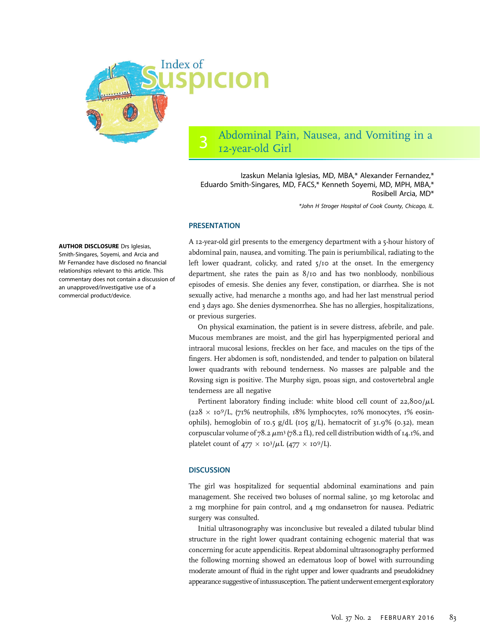

# Abdominal Pain, Nausea, and Vomiting in a 12-year-old Girl

Izaskun Melania Iglesias, MD, MBA,\* Alexander Fernandez,\* Eduardo Smith-Singares, MD, FACS,\* Kenneth Soyemi, MD, MPH, MBA,\* Rosibell Arcia, MD\*

\*John H Stroger Hospital of Cook County, Chicago, IL.

## PRESENTATION

A 12-year-old girl presents to the emergency department with a 5-hour history of abdominal pain, nausea, and vomiting. The pain is periumbilical, radiating to the left lower quadrant, colicky, and rated 5/10 at the onset. In the emergency department, she rates the pain as 8/10 and has two nonbloody, nonbilious episodes of emesis. She denies any fever, constipation, or diarrhea. She is not sexually active, had menarche 2 months ago, and had her last menstrual period end 3 days ago. She denies dysmenorrhea. She has no allergies, hospitalizations, or previous surgeries.

On physical examination, the patient is in severe distress, afebrile, and pale. Mucous membranes are moist, and the girl has hyperpigmented perioral and intraoral mucosal lesions, freckles on her face, and macules on the tips of the fingers. Her abdomen is soft, nondistended, and tender to palpation on bilateral lower quadrants with rebound tenderness. No masses are palpable and the Rovsing sign is positive. The Murphy sign, psoas sign, and costovertebral angle tenderness are all negative

Pertinent laboratory finding include: white blood cell count of  $22,800/\mu L$  $(228 \times 10^9)$ L, (71% neutrophils, 18% lymphocytes, 10% monocytes, 1% eosinophils), hemoglobin of 10.5 g/dL (105 g/L), hematocrit of 31.9% (0.32), mean corpuscular volume of  $78.2 \mu m^3$  ( $78.2 \text{ fL}$ ), red cell distribution width of 14.1%, and platelet count of  $477 \times 10^3/\mu$ L (477  $\times 10^9/\text{L}$ ).

## **DISCUSSION**

The girl was hospitalized for sequential abdominal examinations and pain management. She received two boluses of normal saline, 30 mg ketorolac and 2 mg morphine for pain control, and 4 mg ondansetron for nausea. Pediatric surgery was consulted.

Initial ultrasonography was inconclusive but revealed a dilated tubular blind structure in the right lower quadrant containing echogenic material that was concerning for acute appendicitis. Repeat abdominal ultrasonography performed the following morning showed an edematous loop of bowel with surrounding moderate amount of fluid in the right upper and lower quadrants and pseudokidney appearance suggestive ofintussusception. The patient underwent emergent exploratory

AUTHOR DISCLOSURE Drs Iglesias, Smith-Singares, Soyemi, and Arcia and Mr Fernandez have disclosed no financial relationships relevant to this article. This commentary does not contain a discussion of an unapproved/investigative use of a commercial product/device.